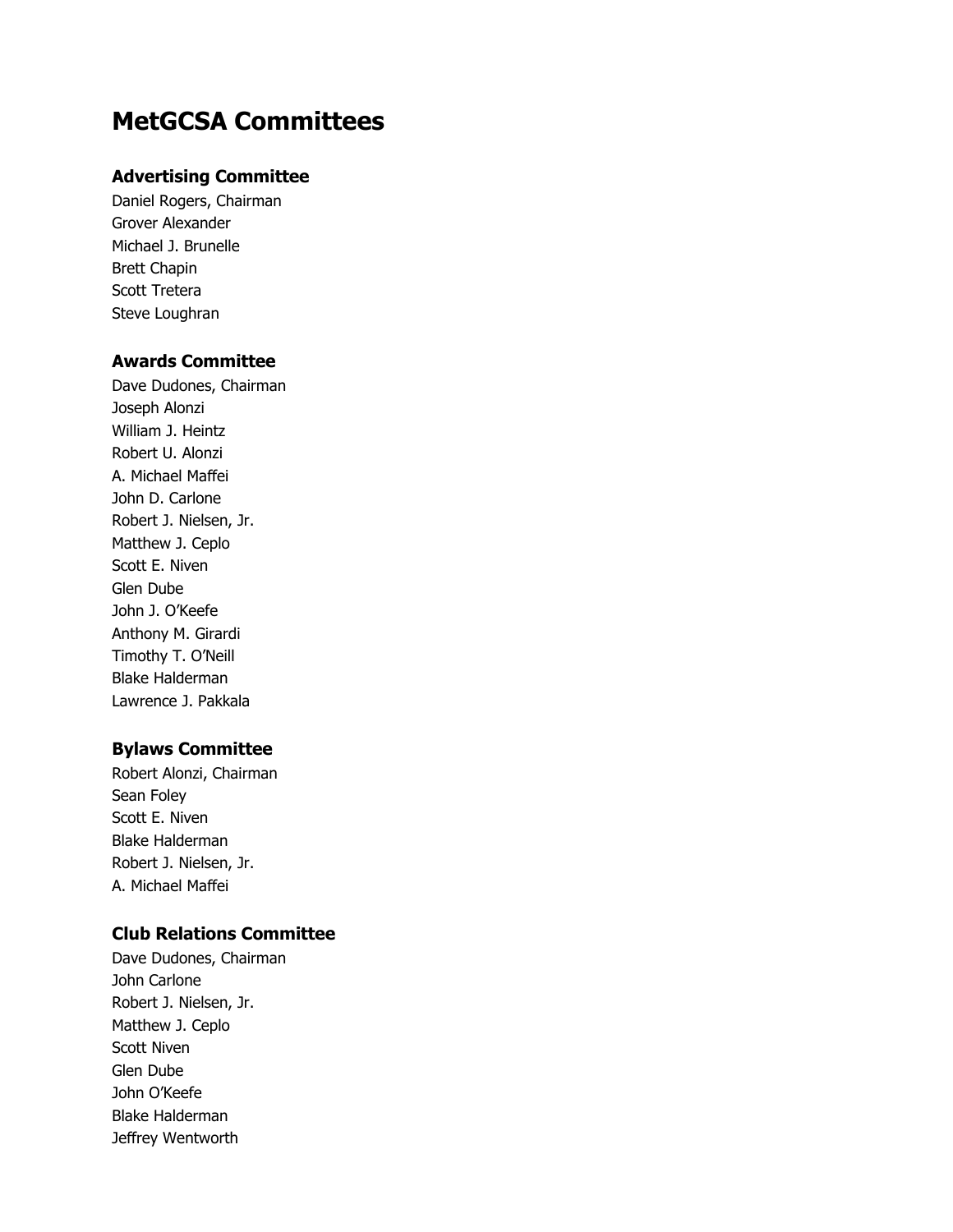# **MetGCSA Committees**

#### **Advertising Committee**

Daniel Rogers, Chairman Grover Alexander Michael J. Brunelle Brett Chapin Scott Tretera Steve Loughran

# **Awards Committee**

Dave Dudones, Chairman Joseph Alonzi William J. Heintz Robert U. Alonzi A. Michael Maffei John D. Carlone Robert J. Nielsen, Jr. Matthew J. Ceplo Scott E. Niven Glen Dube John J. O'Keefe Anthony M. Girardi Timothy T. O'Neill Blake Halderman Lawrence J. Pakkala

# **Bylaws Committee**

Robert Alonzi, Chairman Sean Foley Scott E. Niven Blake Halderman Robert J. Nielsen, Jr. A. Michael Maffei

# **Club Relations Committee**

Dave Dudones, Chairman John Carlone Robert J. Nielsen, Jr. Matthew J. Ceplo Scott Niven Glen Dube John O'Keefe Blake Halderman Jeffrey Wentworth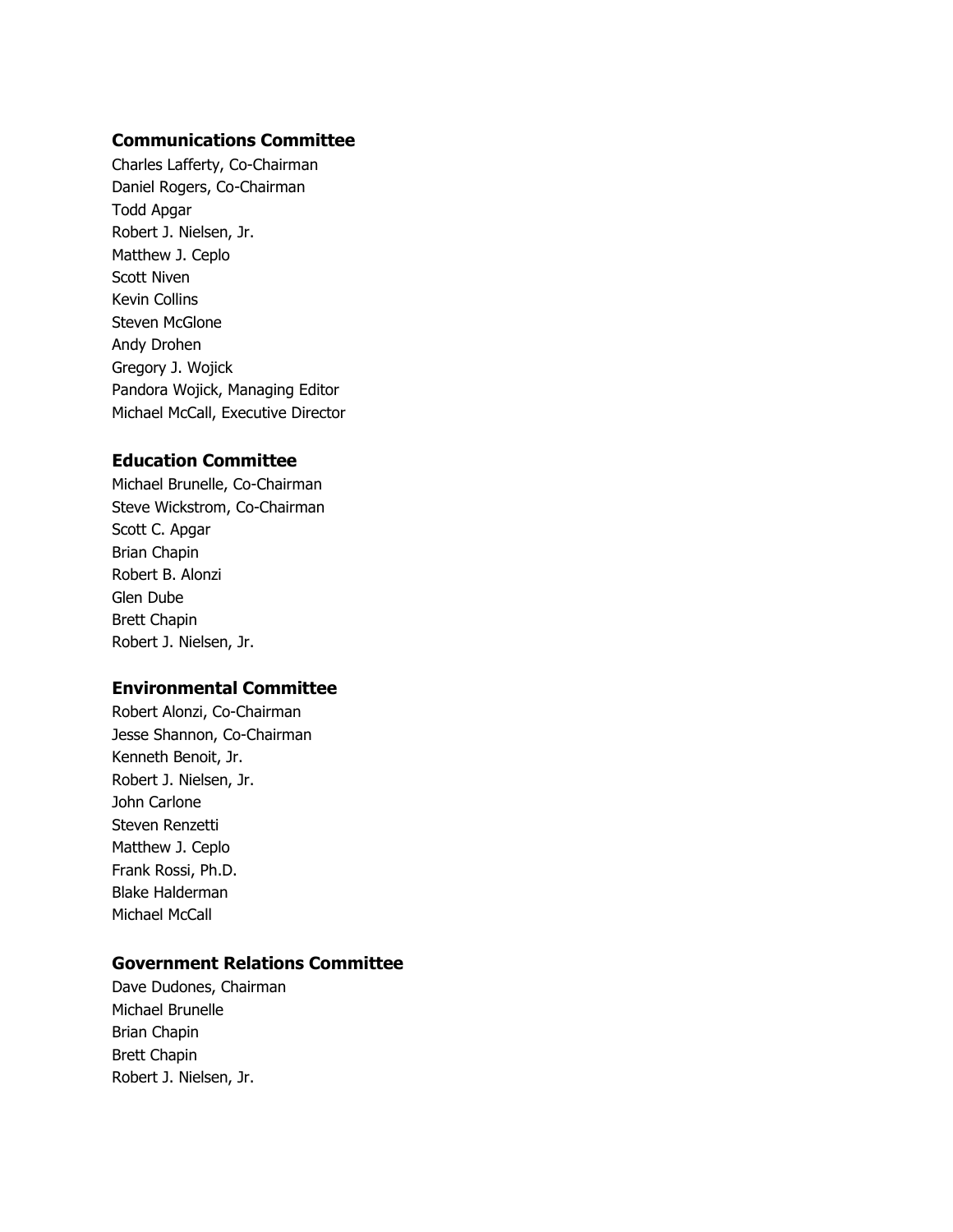# **Communications Committee**

Charles Lafferty, Co-Chairman Daniel Rogers, Co-Chairman Todd Apgar Robert J. Nielsen, Jr. Matthew J. Ceplo Scott Niven Kevin Collins Steven McGlone Andy Drohen Gregory J. Wojick Pandora Wojick, Managing Editor Michael McCall, Executive Director

#### **Education Committee**

Michael Brunelle, Co-Chairman Steve Wickstrom, Co-Chairman Scott C. Apgar Brian Chapin Robert B. Alonzi Glen Dube Brett Chapin Robert J. Nielsen, Jr.

# **Environmental Committee**

Robert Alonzi, Co-Chairman Jesse Shannon, Co-Chairman Kenneth Benoit, Jr. Robert J. Nielsen, Jr. John Carlone Steven Renzetti Matthew J. Ceplo Frank Rossi, Ph.D. Blake Halderman Michael McCall

# **Government Relations Committee**

Dave Dudones, Chairman Michael Brunelle Brian Chapin Brett Chapin Robert J. Nielsen, Jr.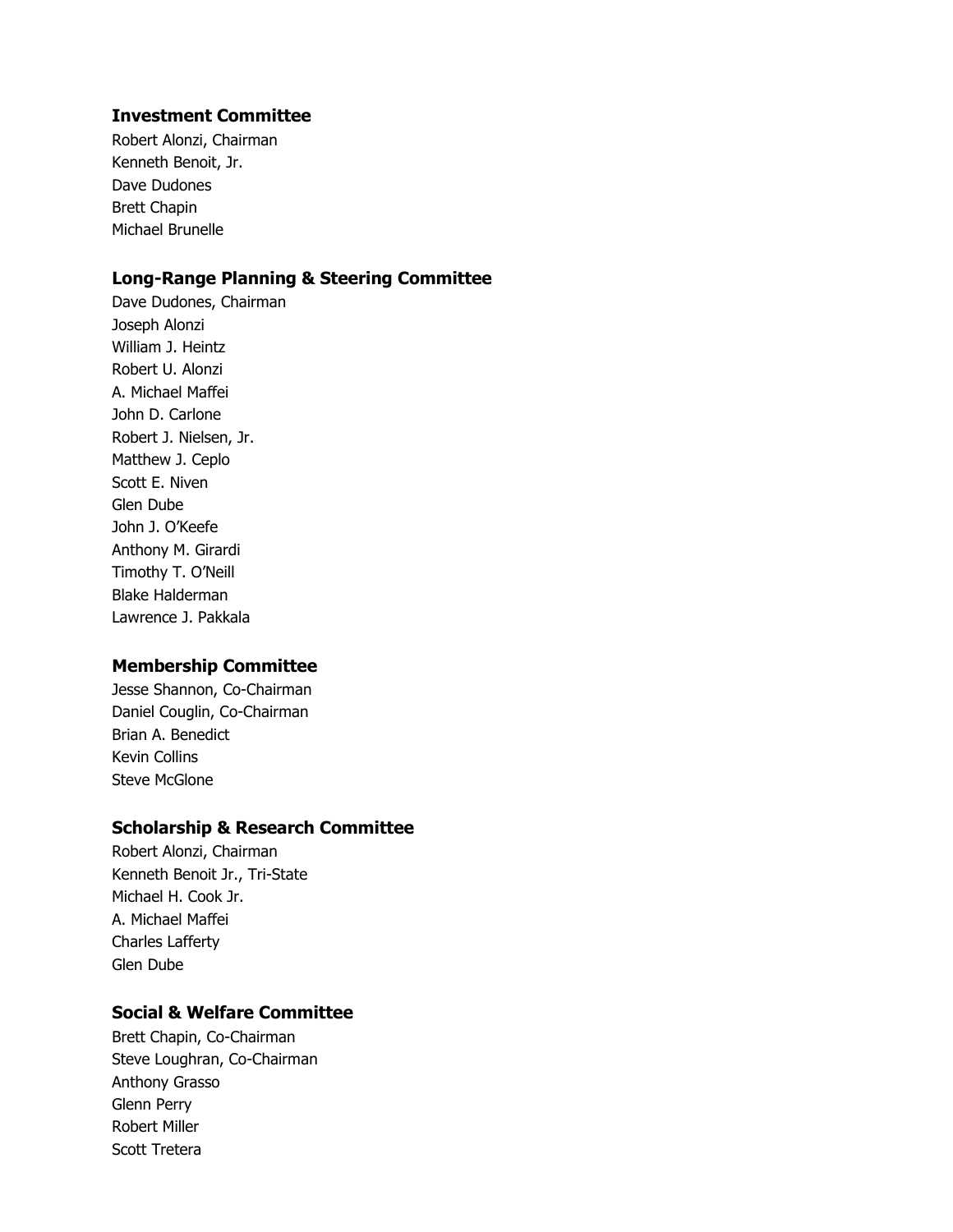## **Investment Committee**

Robert Alonzi, Chairman Kenneth Benoit, Jr. Dave Dudones Brett Chapin Michael Brunelle

#### **Long-Range Planning & Steering Committee**

Dave Dudones, Chairman Joseph Alonzi William J. Heintz Robert U. Alonzi A. Michael Maffei John D. Carlone Robert J. Nielsen, Jr. Matthew J. Ceplo Scott E. Niven Glen Dube John J. O'Keefe Anthony M. Girardi Timothy T. O'Neill Blake Halderman Lawrence J. Pakkala

#### **Membership Committee**

Jesse Shannon, Co-Chairman Daniel Couglin, Co-Chairman Brian A. Benedict Kevin Collins Steve McGlone

# **Scholarship & Research Committee**

Robert Alonzi, Chairman Kenneth Benoit Jr., Tri-State Michael H. Cook Jr. A. Michael Maffei Charles Lafferty Glen Dube

# **Social & Welfare Committee**

Brett Chapin, Co-Chairman Steve Loughran, Co-Chairman Anthony Grasso Glenn Perry Robert Miller Scott Tretera